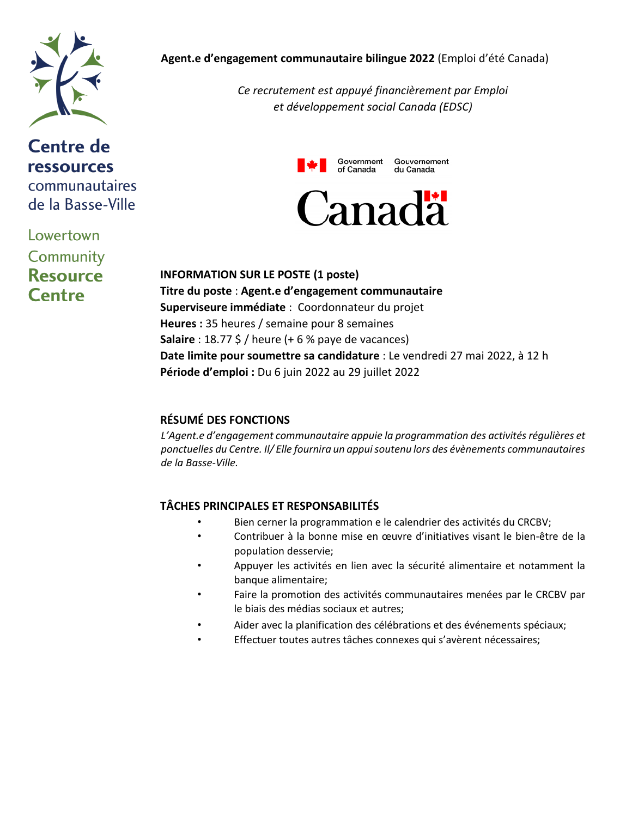

# **Centre de ressources** communautaires de la Basse-Ville

Lowertown Community **Resource Centre** 

### **Agent.e d'engagement communautaire bilingue 2022** (Emploi d'été Canada)

*Ce recrutement est appuyé financièrement par Emploi et développement social Canada (EDSC)*



**INFORMATION SUR LE POSTE (1 poste) Titre du poste** : **Agent.e d'engagement communautaire Superviseure immédiate** : Coordonnateur du projet **Heures :** 35 heures / semaine pour 8 semaines **Salaire** : 18.77 \$ / heure (+ 6 % paye de vacances) **Date limite pour soumettre sa candidature** : Le vendredi 27 mai 2022, à 12 h **Période d'emploi :** Du 6 juin 2022 au 29 juillet 2022

# **RÉSUMÉ DES FONCTIONS**

*L'Agent.e d'engagement communautaire appuie la programmation des activités régulières et ponctuelles du Centre. Il/ Elle fournira un appui soutenu lors des évènements communautaires de la Basse-Ville.* 

# **TÂCHES PRINCIPALES ET RESPONSABILITÉS**

- Bien cerner la programmation e le calendrier des activités du CRCBV;
- Contribuer à la bonne mise en œuvre d'initiatives visant le bien-être de la population desservie;
- Appuyer les activités en lien avec la sécurité alimentaire et notamment la banque alimentaire;
- Faire la promotion des activités communautaires menées par le CRCBV par le biais des médias sociaux et autres;
- Aider avec la planification des célébrations et des événements spéciaux;
- Effectuer toutes autres tâches connexes qui s'avèrent nécessaires;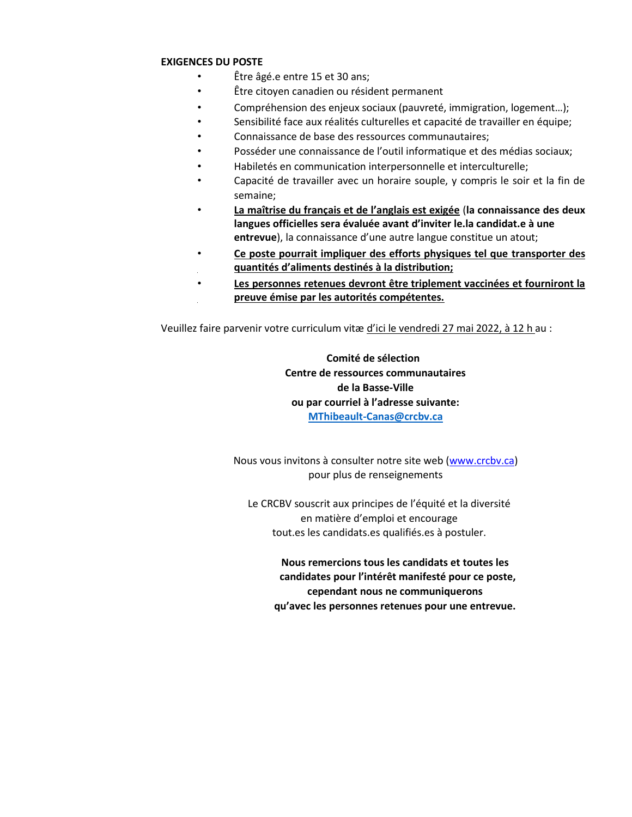#### **EXIGENCES DU POSTE**

- Être âgé.e entre 15 et 30 ans;
- Être citoyen canadien ou résident permanent
- Compréhension des enjeux sociaux (pauvreté, immigration, logement…);
- Sensibilité face aux réalités culturelles et capacité de travailler en équipe;
- Connaissance de base des ressources communautaires;
- Posséder une connaissance de l'outil informatique et des médias sociaux;
- Habiletés en communication interpersonnelle et interculturelle;
- Capacité de travailler avec un horaire souple, y compris le soir et la fin de semaine;
- **La maîtrise du français et de l'anglais est exigée** (**la connaissance des deux langues officielles sera évaluée avant d'inviter le.la candidat.e à une entrevue**), la connaissance d'une autre langue constitue un atout;
- **Ce poste pourrait impliquer des efforts physiques tel que transporter des quantités d'aliments destinés à la distribution;**
- Les personnes retenues devront être triplement vaccinées et fourniront la **preuve émise par les autorités compétentes.**

Veuillez faire parvenir votre curriculum vitæ d'ici le vendredi 27 mai 2022, à 12 h au :

# **Comité de sélection Centre de ressources communautaires de la Basse-Ville ou par courriel à l'adresse suivante: [MThibeault-Canas@crcbv.ca](mailto:MThibeault-Canas@crcbv.ca)**

Nous vous invitons à consulter notre site web [\(www.crcbv.ca\)](http://www.crcbv.ca/)  pour plus de renseignements

Le CRCBV souscrit aux principes de l'équité et la diversité en matière d'emploi et encourage tout.es les candidats.es qualifiés.es à postuler.

**Nous remercions tous les candidats et toutes les candidates pour l'intérêt manifesté pour ce poste, cependant nous ne communiquerons qu'avec les personnes retenues pour une entrevue.**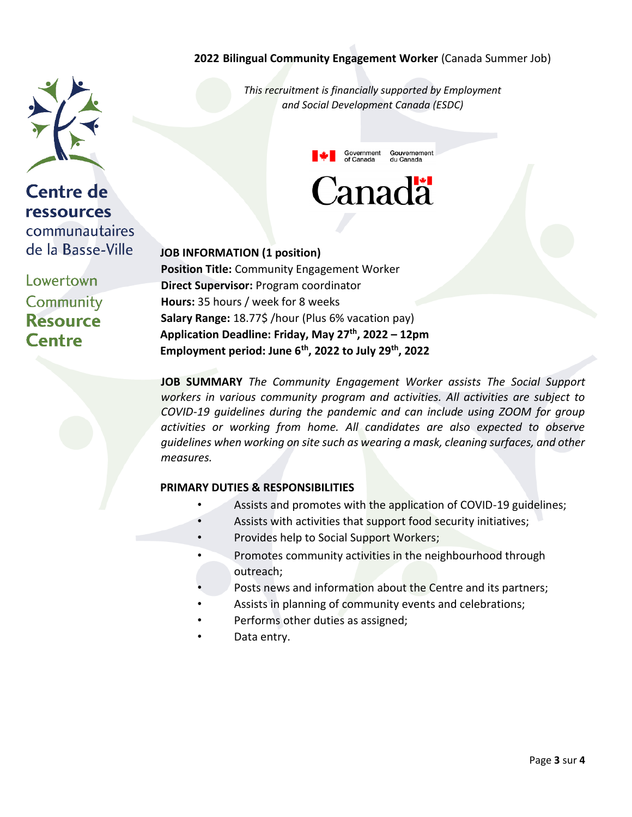## **2022 Bilingual Community Engagement Worker** (Canada Summer Job)

*This recruitment is financially supported by Employment and Social Development Canada (ESDC)*



#### **JOB INFORMATION (1 position)**

**Centre de** 

**ressources** 

Lowertown

Community **Resource** 

**Centre** 

communautaires de la Basse-Ville

> **Position Title:** Community Engagement Worker **Direct Supervisor:** Program coordinator **Hours:** 35 hours / week for 8 weeks **Salary Range:** 18.77\$ /hour (Plus 6% vacation pay) **Application Deadline: Friday, May 27 th, 2022 – 12pm Employment period: June 6th, 2022 to July 29th, 2022**

**JOB SUMMARY** *The Community Engagement Worker assists The Social Support workers in various community program and activities. All activities are subject to COVID-19 guidelines during the pandemic and can include using ZOOM for group activities or working from home. All candidates are also expected to observe guidelines when working on site such as wearing a mask, cleaning surfaces, and other measures.*

### **PRIMARY DUTIES & RESPONSIBILITIES**

- Assists and promotes with the application of COVID-19 guidelines;
- Assists with activities that support food security initiatives;
- Provides help to Social Support Workers;
- Promotes community activities in the neighbourhood through outreach;
- Posts news and information about the Centre and its partners;
- Assists in planning of community events and celebrations;
- Performs other duties as assigned;
- Data entry.